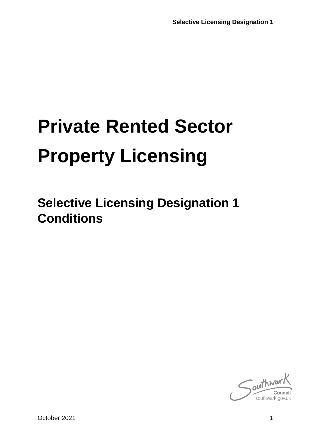# **Private Rented Sector Property Licensing**

**Selective Licensing Designation 1 Conditions**

 $\int_{\text{out}}^{\text{in}}$ southwark.gov.uk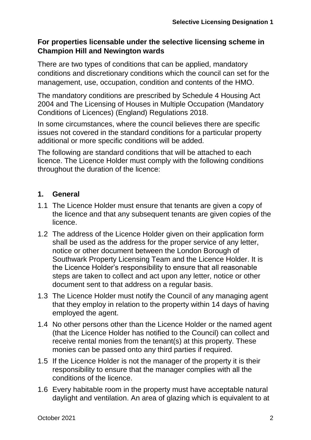## **For properties licensable under the selective licensing scheme in Champion Hill and Newington wards**

There are two types of conditions that can be applied, mandatory conditions and discretionary conditions which the council can set for the management, use, occupation, condition and contents of the HMO.

The mandatory conditions are prescribed by Schedule 4 Housing Act 2004 and The Licensing of Houses in Multiple Occupation (Mandatory Conditions of Licences) (England) Regulations 2018.

In some circumstances, where the council believes there are specific issues not covered in the standard conditions for a particular property additional or more specific conditions will be added.

The following are standard conditions that will be attached to each licence. The Licence Holder must comply with the following conditions throughout the duration of the licence:

## **1. General**

- 1.1 The Licence Holder must ensure that tenants are given a copy of the licence and that any subsequent tenants are given copies of the licence.
- 1.2 The address of the Licence Holder given on their application form shall be used as the address for the proper service of any letter, notice or other document between the London Borough of Southwark Property Licensing Team and the Licence Holder. It is the Licence Holder's responsibility to ensure that all reasonable steps are taken to collect and act upon any letter, notice or other document sent to that address on a regular basis.
- 1.3 The Licence Holder must notify the Council of any managing agent that they employ in relation to the property within 14 days of having employed the agent.
- 1.4 No other persons other than the Licence Holder or the named agent (that the Licence Holder has notified to the Council) can collect and receive rental monies from the tenant(s) at this property. These monies can be passed onto any third parties if required.
- 1.5 If the Licence Holder is not the manager of the property it is their responsibility to ensure that the manager complies with all the conditions of the licence.
- 1.6 Every habitable room in the property must have acceptable natural daylight and ventilation. An area of glazing which is equivalent to at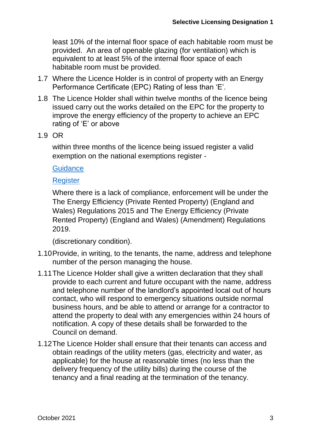least 10% of the internal floor space of each habitable room must be provided. An area of openable glazing (for ventilation) which is equivalent to at least 5% of the internal floor space of each habitable room must be provided.

- 1.7 Where the Licence Holder is in control of property with an Energy Performance Certificate (EPC) Rating of less than 'E'.
- 1.8 The Licence Holder shall within twelve months of the licence being issued carry out the works detailed on the EPC for the property to improve the energy efficiency of the property to achieve an EPC rating of 'E' or above
- 1.9 OR

within three months of the licence being issued register a valid exemption on the national exemptions register -

**[Guidance](https://www.gov.uk/government/publications/private-rented-sector-minimum-energy-efficiency-standard-exemptions)** 

#### **[Register](https://prsregister.beis.gov.uk/NdsBeisUi/used-service-before)**

Where there is a lack of compliance, enforcement will be under the The Energy Efficiency (Private Rented Property) (England and Wales) Regulations 2015 and The Energy Efficiency (Private Rented Property) (England and Wales) (Amendment) Regulations 2019.

(discretionary condition).

- 1.10Provide, in writing, to the tenants, the name, address and telephone number of the person managing the house.
- 1.11The Licence Holder shall give a written declaration that they shall provide to each current and future occupant with the name, address and telephone number of the landlord's appointed local out of hours contact, who will respond to emergency situations outside normal business hours, and be able to attend or arrange for a contractor to attend the property to deal with any emergencies within 24 hours of notification. A copy of these details shall be forwarded to the Council on demand.
- 1.12The Licence Holder shall ensure that their tenants can access and obtain readings of the utility meters (gas, electricity and water, as applicable) for the house at reasonable times (no less than the delivery frequency of the utility bills) during the course of the tenancy and a final reading at the termination of the tenancy.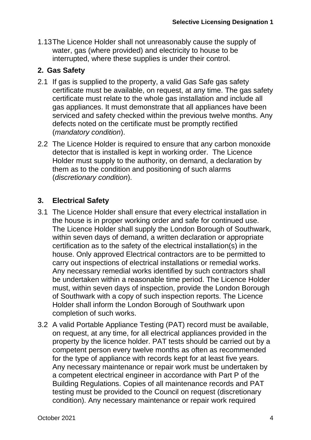1.13The Licence Holder shall not unreasonably cause the supply of water, gas (where provided) and electricity to house to be interrupted, where these supplies is under their control.

# **2. Gas Safety**

- 2.1 If gas is supplied to the property, a valid Gas Safe gas safety certificate must be available, on request, at any time. The gas safety certificate must relate to the whole gas installation and include all gas appliances. It must demonstrate that all appliances have been serviced and safety checked within the previous twelve months. Any defects noted on the certificate must be promptly rectified (*mandatory condition*).
- 2.2 The Licence Holder is required to ensure that any carbon monoxide detector that is installed is kept in working order. The Licence Holder must supply to the authority, on demand, a declaration by them as to the condition and positioning of such alarms (*discretionary condition*).

# **3. Electrical Safety**

- 3.1 The Licence Holder shall ensure that every electrical installation in the house is in proper working order and safe for continued use. The Licence Holder shall supply the London Borough of Southwark, within seven days of demand, a written declaration or appropriate certification as to the safety of the electrical installation(s) in the house. Only approved Electrical contractors are to be permitted to carry out inspections of electrical installations or remedial works. Any necessary remedial works identified by such contractors shall be undertaken within a reasonable time period. The Licence Holder must, within seven days of inspection, provide the London Borough of Southwark with a copy of such inspection reports. The Licence Holder shall inform the London Borough of Southwark upon completion of such works.
- 3.2 A valid Portable Appliance Testing (PAT) record must be available, on request, at any time, for all electrical appliances provided in the property by the licence holder. PAT tests should be carried out by a competent person every twelve months as often as recommended for the type of appliance with records kept for at least five years. Any necessary maintenance or repair work must be undertaken by a competent electrical engineer in accordance with Part P of the Building Regulations. Copies of all maintenance records and PAT testing must be provided to the Council on request (discretionary condition). Any necessary maintenance or repair work required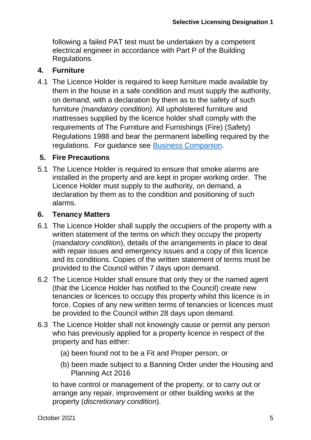following a failed PAT test must be undertaken by a competent electrical engineer in accordance with Part P of the Building Regulations.

#### **4. Furniture**

4.1 The Licence Holder is required to keep furniture made available by them in the house in a safe condition and must supply the authority, on demand, with a declaration by them as to the safety of such furniture *(mandatory condition).* All upholstered furniture and mattresses supplied by the licence holder shall comply with the requirements of The Furniture and Furnishings (Fire) (Safety) Regulations 1988 and bear the permanent labelling required by the regulations. For guidance see [Business Companion.](http://www.businesscompanion.info/en/quick-guides/product-safety/goods-in-rented-accommodation)

#### **5. Fire Precautions**

5.1 The Licence Holder is required to ensure that smoke alarms are installed in the property and are kept in proper working order. The Licence Holder must supply to the authority, on demand, a declaration by them as to the condition and positioning of such alarms.

#### **6. Tenancy Matters**

- 6.1 The Licence Holder shall supply the occupiers of the property with a written statement of the terms on which they occupy the property (*mandatory condition*), details of the arrangements in place to deal with repair issues and emergency issues and a copy of this licence and its conditions. Copies of the written statement of terms must be provided to the Council within 7 days upon demand.
- 6.2 The Licence Holder shall ensure that only they or the named agent (that the Licence Holder has notified to the Council) create new tenancies or licences to occupy this property whilst this licence is in force. Copies of any new written terms of tenancies or licences must be provided to the Council within 28 days upon demand.
- 6.3 The Licence Holder shall not knowingly cause or permit any person who has previously applied for a property licence in respect of the property and has either:
	- (a) been found not to be a Fit and Proper person, or
	- (b) been made subject to a Banning Order under the Housing and Planning Act 2016

to have control or management of the property, or to carry out or arrange any repair, improvement or other building works at the property (*discretionary condition*).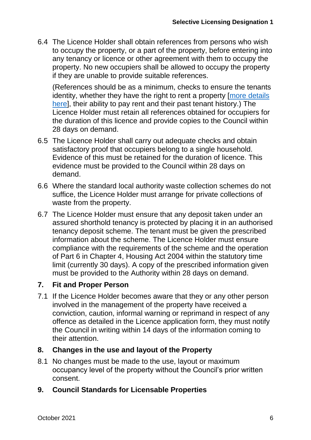6.4 The Licence Holder shall obtain references from persons who wish to occupy the property, or a part of the property, before entering into any tenancy or licence or other agreement with them to occupy the property. No new occupiers shall be allowed to occupy the property if they are unable to provide suitable references.

(References should be as a minimum, checks to ensure the tenants identity, whether they have the right to rent a property [more details [here\]](https://www.gov.uk/check-tenant-right-to-rent-documents/who-to-check), their ability to pay rent and their past tenant history.) The Licence Holder must retain all references obtained for occupiers for the duration of this licence and provide copies to the Council within 28 days on demand.

- 6.5 The Licence Holder shall carry out adequate checks and obtain satisfactory proof that occupiers belong to a single household. Evidence of this must be retained for the duration of licence. This evidence must be provided to the Council within 28 days on demand.
- 6.6 Where the standard local authority waste collection schemes do not suffice, the Licence Holder must arrange for private collections of waste from the property.
- 6.7 The Licence Holder must ensure that any deposit taken under an assured shorthold tenancy is protected by placing it in an authorised tenancy deposit scheme. The tenant must be given the prescribed information about the scheme. The Licence Holder must ensure compliance with the requirements of the scheme and the operation of Part 6 in Chapter 4, Housing Act 2004 within the statutory time limit (currently 30 days). A copy of the prescribed information given must be provided to the Authority within 28 days on demand.

#### **7. Fit and Proper Person**

7.1 If the Licence Holder becomes aware that they or any other person involved in the management of the property have received a conviction, caution, informal warning or reprimand in respect of any offence as detailed in the Licence application form, they must notify the Council in writing within 14 days of the information coming to their attention.

#### **8. Changes in the use and layout of the Property**

8.1 No changes must be made to the use, layout or maximum occupancy level of the property without the Council's prior written consent.

#### **9. Council Standards for Licensable Properties**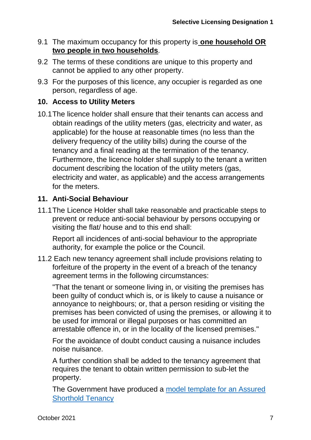- 9.1 The maximum occupancy for this property is **one household OR two people in two households***.*
- 9.2 The terms of these conditions are unique to this property and cannot be applied to any other property.
- 9.3 For the purposes of this licence, any occupier is regarded as one person, regardless of age.

## **10. Access to Utility Meters**

10.1The licence holder shall ensure that their tenants can access and obtain readings of the utility meters (gas, electricity and water, as applicable) for the house at reasonable times (no less than the delivery frequency of the utility bills) during the course of the tenancy and a final reading at the termination of the tenancy. Furthermore, the licence holder shall supply to the tenant a written document describing the location of the utility meters (gas, electricity and water, as applicable) and the access arrangements for the meters.

## **11. Anti-Social Behaviour**

11.1The Licence Holder shall take reasonable and practicable steps to prevent or reduce anti-social behaviour by persons occupying or visiting the flat/ house and to this end shall:

Report all incidences of anti-social behaviour to the appropriate authority, for example the police or the Council.

11.2 Each new tenancy agreement shall include provisions relating to forfeiture of the property in the event of a breach of the tenancy agreement terms in the following circumstances:

"That the tenant or someone living in, or visiting the premises has been guilty of conduct which is, or is likely to cause a nuisance or annoyance to neighbours; or, that a person residing or visiting the premises has been convicted of using the premises, or allowing it to be used for immoral or illegal purposes or has committed an arrestable offence in, or in the locality of the licensed premises."

For the avoidance of doubt conduct causing a nuisance includes noise nuisance.

A further condition shall be added to the tenancy agreement that requires the tenant to obtain written permission to sub-let the property.

The Government have produced a [model template for an Assured](https://www.gov.uk/government/publications/model-agreement-for-a-shorthold-assured-tenancy)  [Shorthold Tenancy](https://www.gov.uk/government/publications/model-agreement-for-a-shorthold-assured-tenancy)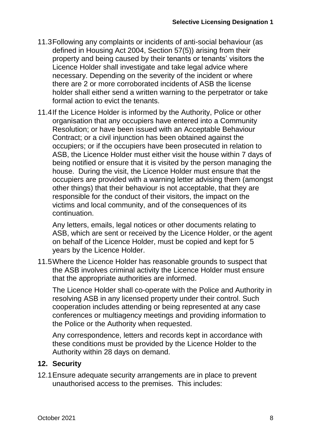- 11.3Following any complaints or incidents of anti-social behaviour (as defined in Housing Act 2004, Section 57(5)) arising from their property and being caused by their tenants or tenants' visitors the Licence Holder shall investigate and take legal advice where necessary. Depending on the severity of the incident or where there are 2 or more corroborated incidents of ASB the license holder shall either send a written warning to the perpetrator or take formal action to evict the tenants.
- 11.4If the Licence Holder is informed by the Authority, Police or other organisation that any occupiers have entered into a Community Resolution; or have been issued with an Acceptable Behaviour Contract; or a civil injunction has been obtained against the occupiers; or if the occupiers have been prosecuted in relation to ASB, the Licence Holder must either visit the house within 7 days of being notified or ensure that it is visited by the person managing the house. During the visit, the Licence Holder must ensure that the occupiers are provided with a warning letter advising them (amongst other things) that their behaviour is not acceptable, that they are responsible for the conduct of their visitors, the impact on the victims and local community, and of the consequences of its continuation.

Any letters, emails, legal notices or other documents relating to ASB, which are sent or received by the Licence Holder, or the agent on behalf of the Licence Holder, must be copied and kept for 5 years by the Licence Holder.

11.5Where the Licence Holder has reasonable grounds to suspect that the ASB involves criminal activity the Licence Holder must ensure that the appropriate authorities are informed.

The Licence Holder shall co-operate with the Police and Authority in resolving ASB in any licensed property under their control. Such cooperation includes attending or being represented at any case conferences or multiagency meetings and providing information to the Police or the Authority when requested.

Any correspondence, letters and records kept in accordance with these conditions must be provided by the Licence Holder to the Authority within 28 days on demand.

# **12. Security**

12.1Ensure adequate security arrangements are in place to prevent unauthorised access to the premises. This includes: